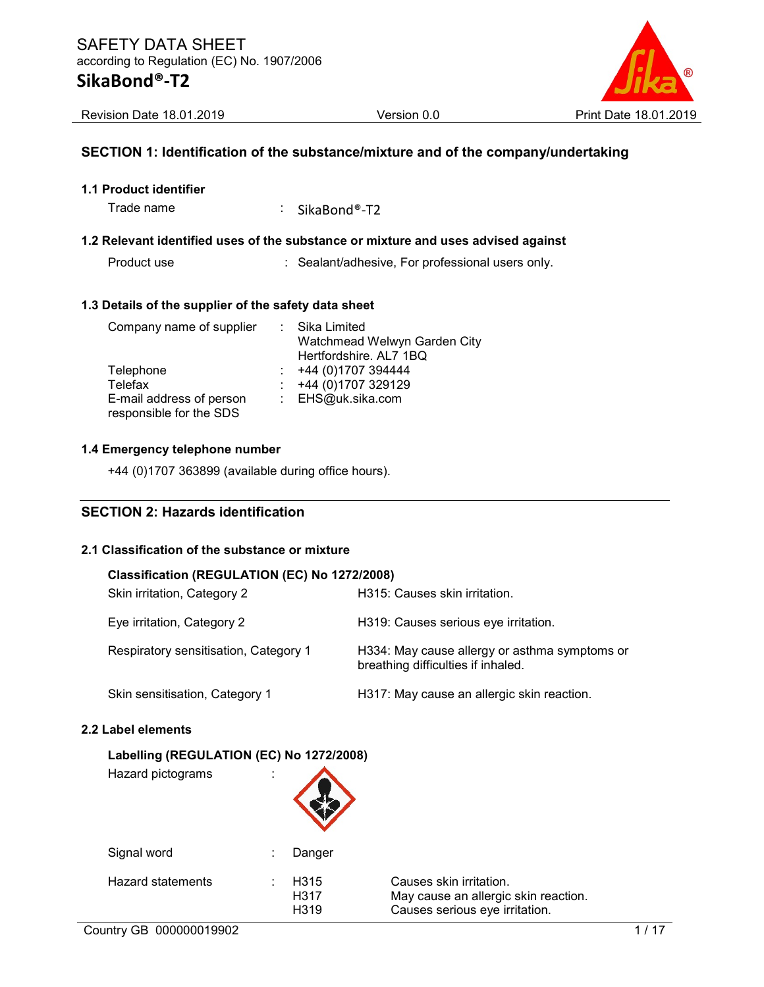

### SECTION 1: Identification of the substance/mixture and of the company/undertaking

Trade name : SikaBond®-T2

### 1.2 Relevant identified uses of the substance or mixture and uses advised against

Product use **interpretent in the Sealant/adhesive, For professional users only.** 

#### 1.3 Details of the supplier of the safety data sheet

| Company name of supplier | : Sika Limited               |
|--------------------------|------------------------------|
|                          | Watchmead Welwyn Garden City |
|                          | Hertfordshire. AL7 1BQ       |
| Telephone                | +44 (0)1707 394444           |
| Telefax                  | +44 (0)1707 329129           |
| E-mail address of person | : EHS@uk.sika.com            |
| responsible for the SDS  |                              |

### 1.4 Emergency telephone number

+44 (0)1707 363899 (available during office hours).

### SECTION 2: Hazards identification

### 2.1 Classification of the substance or mixture

#### Classification (REGULATION (EC) No 1272/2008)

| Skin irritation, Category 2           | H315: Causes skin irritation.                                                       |
|---------------------------------------|-------------------------------------------------------------------------------------|
| Eye irritation, Category 2            | H319: Causes serious eye irritation.                                                |
| Respiratory sensitisation, Category 1 | H334: May cause allergy or asthma symptoms or<br>breathing difficulties if inhaled. |
| Skin sensitisation, Category 1        | H317: May cause an allergic skin reaction.                                          |

 $\blacktriangle$ 

### 2.2 Label elements

### Labelling (REGULATION (EC) No 1272/2008)

Hazard pictograms :

| Signal word              | ÷. | Danger                           |                                                                            |
|--------------------------|----|----------------------------------|----------------------------------------------------------------------------|
| <b>Hazard statements</b> | ۰  | H <sub>315</sub><br>H317<br>H319 | Causes skin irritation.<br>May cause an allergic<br>Causes serious eye irr |

May cause an allergic skin reaction. Causes serious eye irritation.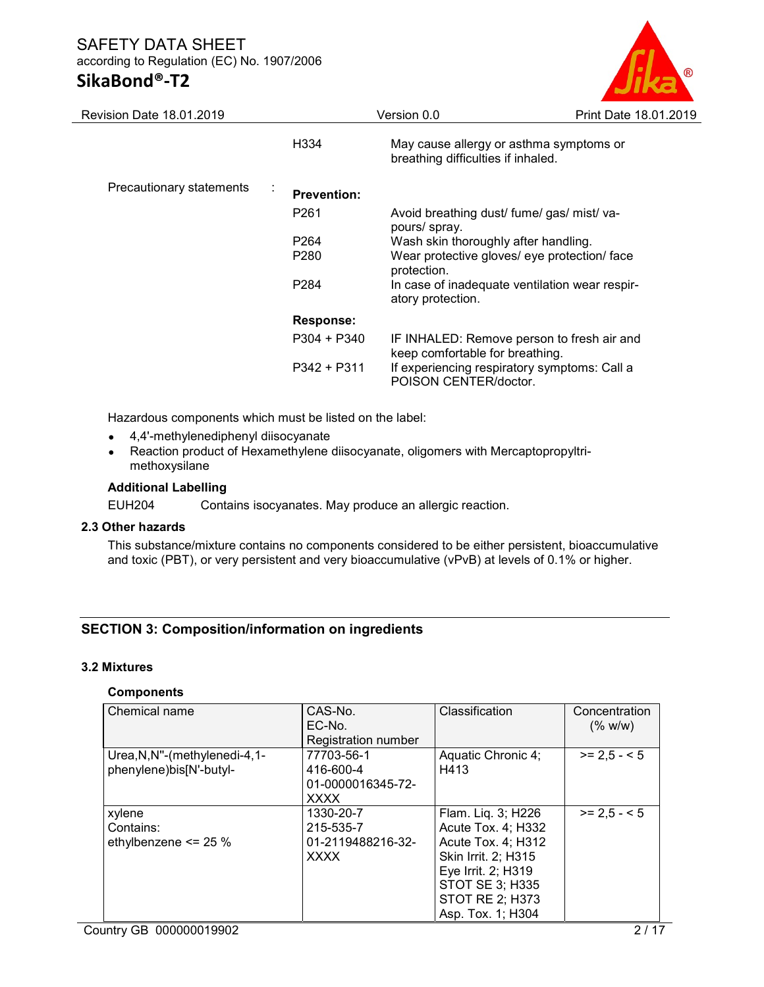### SAFETY DATA SHEET according to Regulation (EC) No. 1907/2006 SikaBond®-T2

| Revision Date 18.01.2019      |                    | Version 0.0                                                                            | Print Date 18.01.2019 |
|-------------------------------|--------------------|----------------------------------------------------------------------------------------|-----------------------|
|                               | H334               | May cause allergy or asthma symptoms or<br>breathing difficulties if inhaled.          |                       |
| Precautionary statements<br>÷ | <b>Prevention:</b> |                                                                                        |                       |
|                               | P <sub>261</sub>   | Avoid breathing dust/ fume/ gas/ mist/ va-<br>pours/ spray.                            |                       |
|                               | P <sub>264</sub>   |                                                                                        |                       |
|                               | P <sub>280</sub>   | Wear protective gloves/ eye protection/ face                                           |                       |
|                               | P <sub>284</sub>   | In case of inadequate ventilation wear respir-<br>atory protection.                    |                       |
|                               | <b>Response:</b>   |                                                                                        |                       |
|                               | $P304 + P340$      | IF INHALED: Remove person to fresh air and                                             |                       |
|                               | $P342 + P311$      | If experiencing respiratory symptoms: Call a<br>POISON CENTER/doctor.                  |                       |
|                               |                    | Wash skin thoroughly after handling.<br>protection.<br>keep comfortable for breathing. |                       |

Hazardous components which must be listed on the label:

- 4,4'-methylenediphenyl diisocyanate
- Reaction product of Hexamethylene diisocyanate, oligomers with Mercaptopropyltrimethoxysilane

### Additional Labelling

EUH204 Contains isocyanates. May produce an allergic reaction.

### 2.3 Other hazards

This substance/mixture contains no components considered to be either persistent, bioaccumulative and toxic (PBT), or very persistent and very bioaccumulative (vPvB) at levels of 0.1% or higher.

### SECTION 3: Composition/information on ingredients

### 3.2 Mixtures

### **Components**

| Chemical name                  | CAS-No.                    | Classification         | Concentration |
|--------------------------------|----------------------------|------------------------|---------------|
|                                | EC-No.                     |                        | (% w/w)       |
|                                | <b>Registration number</b> |                        |               |
| Urea, N, N"-(methylenedi-4, 1- | 77703-56-1                 | Aquatic Chronic 4;     | $>= 2.5 - 5$  |
| phenylene)bis[N'-butyl-        | 416-600-4                  | H413                   |               |
|                                | 01-0000016345-72-          |                        |               |
|                                | <b>XXXX</b>                |                        |               |
| xylene                         | 1330-20-7                  | Flam. Liq. 3; H226     | $>= 2.5 - 5$  |
| Contains:                      | 215-535-7                  | Acute Tox. 4; H332     |               |
| ethylbenzene <= 25 %           | 01-2119488216-32-          | Acute Tox. 4; H312     |               |
|                                | <b>XXXX</b>                | Skin Irrit. 2; H315    |               |
|                                |                            | Eye Irrit. 2; H319     |               |
|                                |                            | <b>STOT SE 3; H335</b> |               |
|                                |                            | <b>STOT RE 2; H373</b> |               |
|                                |                            | Asp. Tox. 1; H304      |               |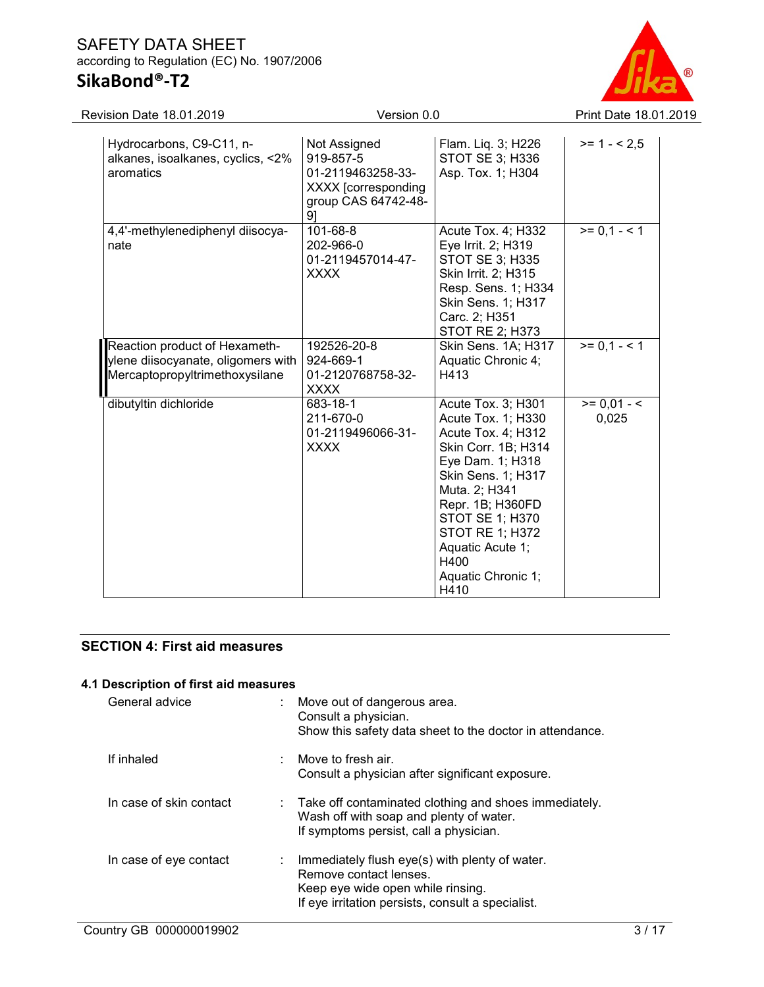### SAFETY DATA SHEET according to Regulation (EC) No. 1907/2006 SikaBond®-T2



| Revision Date 18.01.2019                                                                              | Version 0.0                                                                                        |                                                                                                                                                                                                                                                                      | Print Date 18.01.2019  |
|-------------------------------------------------------------------------------------------------------|----------------------------------------------------------------------------------------------------|----------------------------------------------------------------------------------------------------------------------------------------------------------------------------------------------------------------------------------------------------------------------|------------------------|
| Hydrocarbons, C9-C11, n-<br>alkanes, isoalkanes, cyclics, <2%<br>aromatics                            | Not Assigned<br>919-857-5<br>01-2119463258-33-<br>XXXX [corresponding<br>group CAS 64742-48-<br>91 | Flam. Liq. 3; H226<br>STOT SE 3; H336<br>Asp. Tox. 1; H304                                                                                                                                                                                                           | $>= 1 - 2.5$           |
| 4,4'-methylenediphenyl diisocya-<br>nate                                                              | 101-68-8<br>202-966-0<br>01-2119457014-47-<br><b>XXXX</b>                                          | Acute Tox. 4; H332<br>Eye Irrit. 2; H319<br>STOT SE 3; H335<br>Skin Irrit. 2; H315<br>Resp. Sens. 1; H334<br>Skin Sens. 1; H317<br>Carc. 2; H351<br>STOT RE 2; H373                                                                                                  | $>= 0.1 - 1$           |
| Reaction product of Hexameth-<br>ylene diisocyanate, oligomers with<br>Mercaptopropyltrimethoxysilane | 192526-20-8<br>924-669-1<br>01-2120768758-32-<br><b>XXXX</b>                                       | Skin Sens. 1A; H317<br>Aquatic Chronic 4;<br>H413                                                                                                                                                                                                                    | $>= 0.1 - 1$           |
| dibutyltin dichloride                                                                                 | 683-18-1<br>211-670-0<br>01-2119496066-31-<br><b>XXXX</b>                                          | Acute Tox. 3; H301<br>Acute Tox. 1; H330<br>Acute Tox. 4; H312<br>Skin Corr. 1B; H314<br>Eye Dam. 1; H318<br>Skin Sens. 1; H317<br>Muta. 2; H341<br>Repr. 1B; H360FD<br>STOT SE 1; H370<br>STOT RE 1; H372<br>Aquatic Acute 1;<br>H400<br>Aquatic Chronic 1;<br>H410 | $>= 0.01 - 5$<br>0,025 |

### SECTION 4: First aid measures

### 4.1 Description of first aid measures

| General advice          |   | Move out of dangerous area.<br>Consult a physician.<br>Show this safety data sheet to the doctor in attendance.                                                    |
|-------------------------|---|--------------------------------------------------------------------------------------------------------------------------------------------------------------------|
| If inhaled              | ٠ | Move to fresh air.<br>Consult a physician after significant exposure.                                                                                              |
| In case of skin contact |   | $\therefore$ Take off contaminated clothing and shoes immediately.<br>Wash off with soap and plenty of water.<br>If symptoms persist, call a physician.            |
| In case of eye contact  |   | Immediately flush eye(s) with plenty of water.<br>Remove contact lenses.<br>Keep eye wide open while rinsing.<br>If eye irritation persists, consult a specialist. |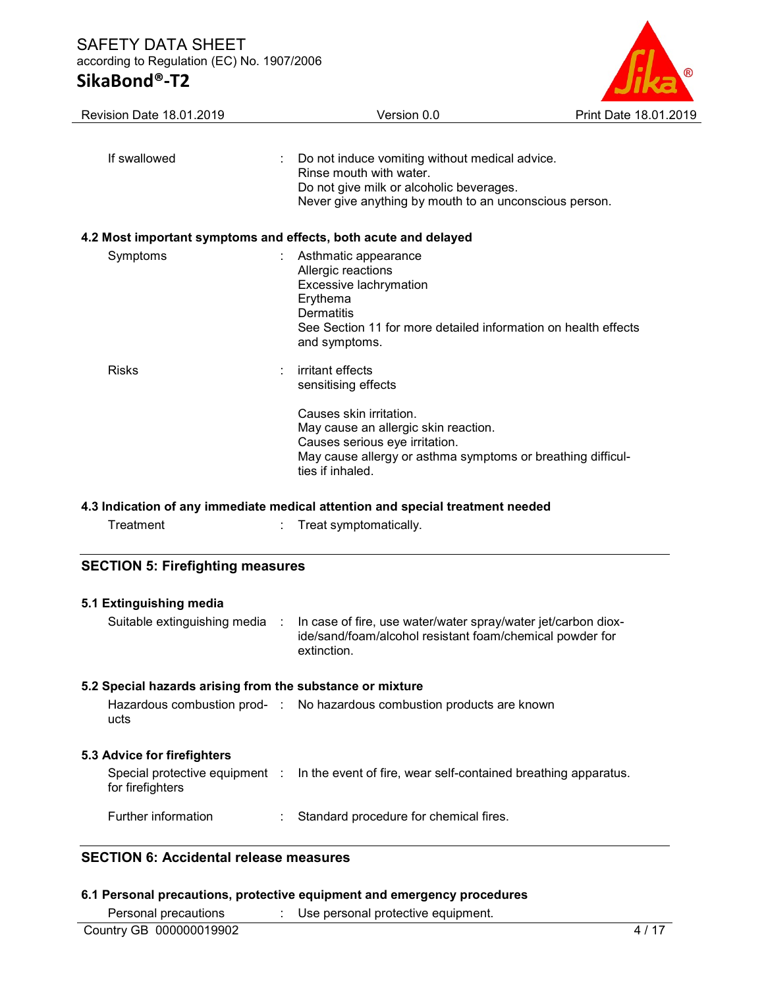## SikaBond®-T2



| Revision Date 18.01.2019 | Version 0.0                                                                                                                                                                                                                     | Print Date 18.01.2019 |
|--------------------------|---------------------------------------------------------------------------------------------------------------------------------------------------------------------------------------------------------------------------------|-----------------------|
| If swallowed             | Do not induce vomiting without medical advice.<br>Rinse mouth with water.<br>Do not give milk or alcoholic beverages.<br>Never give anything by mouth to an unconscious person.                                                 |                       |
|                          | 4.2 Most important symptoms and effects, both acute and delayed                                                                                                                                                                 |                       |
| Symptoms                 | Asthmatic appearance<br>Allergic reactions<br>Excessive lachrymation<br>Erythema<br>Dermatitis<br>See Section 11 for more detailed information on health effects<br>and symptoms.                                               |                       |
| <b>Risks</b>             | irritant effects<br>sensitising effects<br>Causes skin irritation.<br>May cause an allergic skin reaction.<br>Causes serious eye irritation.<br>May cause allergy or asthma symptoms or breathing difficul-<br>ties if inhaled. |                       |
|                          |                                                                                                                                                                                                                                 |                       |

### 4.3 Indication of any immediate medical attention and special treatment needed

|  | ⊺reatment |  |
|--|-----------|--|

Treatment : Treat symptomatically.

### SECTION 5: Firefighting measures

| 5.1 Extinguishing media                                   |                                                                                                                                          |
|-----------------------------------------------------------|------------------------------------------------------------------------------------------------------------------------------------------|
| Suitable extinguishing media :                            | In case of fire, use water/water spray/water jet/carbon diox-<br>ide/sand/foam/alcohol resistant foam/chemical powder for<br>extinction. |
| 5.2 Special hazards arising from the substance or mixture |                                                                                                                                          |
| ucts                                                      | Hazardous combustion prod- : No hazardous combustion products are known                                                                  |
| 5.3 Advice for firefighters                               |                                                                                                                                          |
| for firefighters                                          | Special protective equipment : In the event of fire, wear self-contained breathing apparatus.                                            |
| Further information                                       | Standard procedure for chemical fires.                                                                                                   |
| ОГОТІОН О. А. — : - : - : - 1 - - - 1 - - 1               |                                                                                                                                          |

### SECTION 6: Accidental release measures

### 6.1 Personal precautions, protective equipment and emergency procedures

|  | Personal precautions |  | Use personal protective equipment. |  |
|--|----------------------|--|------------------------------------|--|
|--|----------------------|--|------------------------------------|--|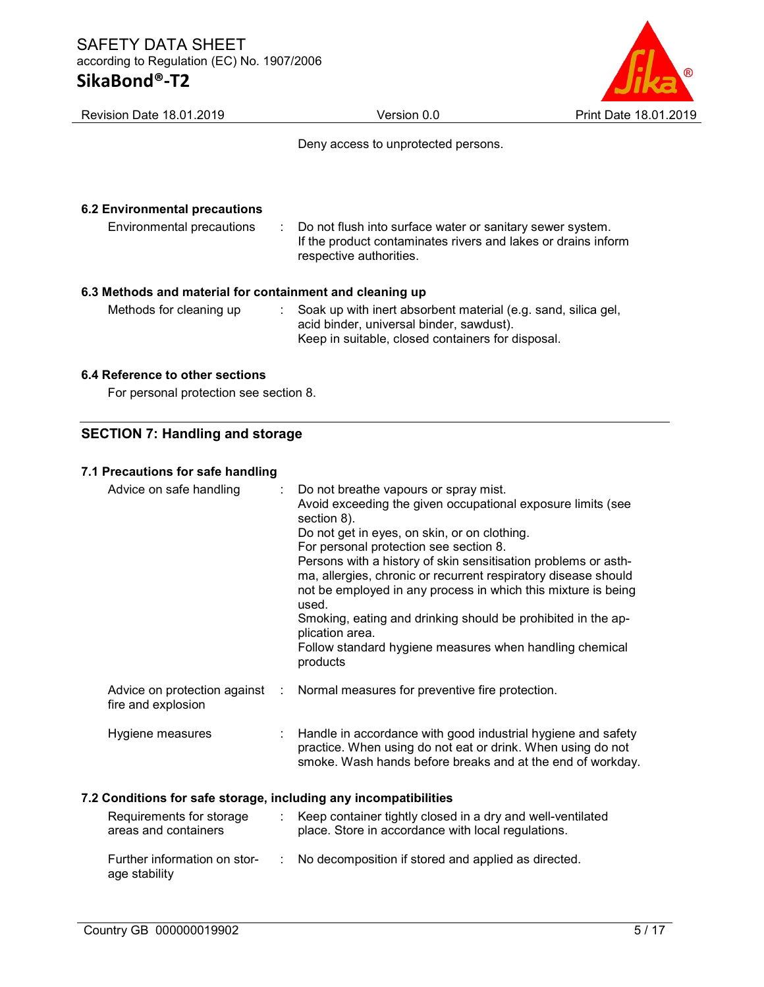| Revision Date 18.01.2019                                                            | Version 0.0                                                                                                                                                          | <b>Print Date 18.01.2019</b> |
|-------------------------------------------------------------------------------------|----------------------------------------------------------------------------------------------------------------------------------------------------------------------|------------------------------|
|                                                                                     | Deny access to unprotected persons.                                                                                                                                  |                              |
| <b>6.2 Environmental precautions</b><br>Environmental precautions                   | Do not flush into surface water or sanitary sewer system.<br>÷<br>If the product contaminates rivers and lakes or drains inform<br>respective authorities.           |                              |
| 6.3 Methods and material for containment and cleaning up<br>Methods for cleaning up | Soak up with inert absorbent material (e.g. sand, silica gel,<br>÷.<br>acid binder, universal binder, sawdust).<br>Keep in suitable, closed containers for disposal. |                              |
| 0.4 Defensos te ethen saetten                                                       |                                                                                                                                                                      |                              |

### 6.4 Reference to other sections

For personal protection see section 8.

### SECTION 7: Handling and storage

### 7.1 Precautions for safe handling

| Advice on safe handling                                          | Do not breathe vapours or spray mist.<br>Avoid exceeding the given occupational exposure limits (see<br>section 8).<br>Do not get in eyes, on skin, or on clothing.<br>For personal protection see section 8.<br>Persons with a history of skin sensitisation problems or asth-<br>ma, allergies, chronic or recurrent respiratory disease should<br>not be employed in any process in which this mixture is being<br>used.<br>Smoking, eating and drinking should be prohibited in the ap-<br>plication area.<br>Follow standard hygiene measures when handling chemical<br>products |
|------------------------------------------------------------------|---------------------------------------------------------------------------------------------------------------------------------------------------------------------------------------------------------------------------------------------------------------------------------------------------------------------------------------------------------------------------------------------------------------------------------------------------------------------------------------------------------------------------------------------------------------------------------------|
| Advice on protection against<br>÷<br>fire and explosion          | Normal measures for preventive fire protection.                                                                                                                                                                                                                                                                                                                                                                                                                                                                                                                                       |
| Hygiene measures                                                 | Handle in accordance with good industrial hygiene and safety<br>practice. When using do not eat or drink. When using do not<br>smoke. Wash hands before breaks and at the end of workday.                                                                                                                                                                                                                                                                                                                                                                                             |
| 7.2 Conditions for safe storage, including any incompatibilities |                                                                                                                                                                                                                                                                                                                                                                                                                                                                                                                                                                                       |
| Requirements for storage<br>÷<br>areas and containers            | Keep container tightly closed in a dry and well-ventilated<br>place. Store in accordance with local regulations.                                                                                                                                                                                                                                                                                                                                                                                                                                                                      |
| Further information on stor-<br>÷<br>age stability               | No decomposition if stored and applied as directed.                                                                                                                                                                                                                                                                                                                                                                                                                                                                                                                                   |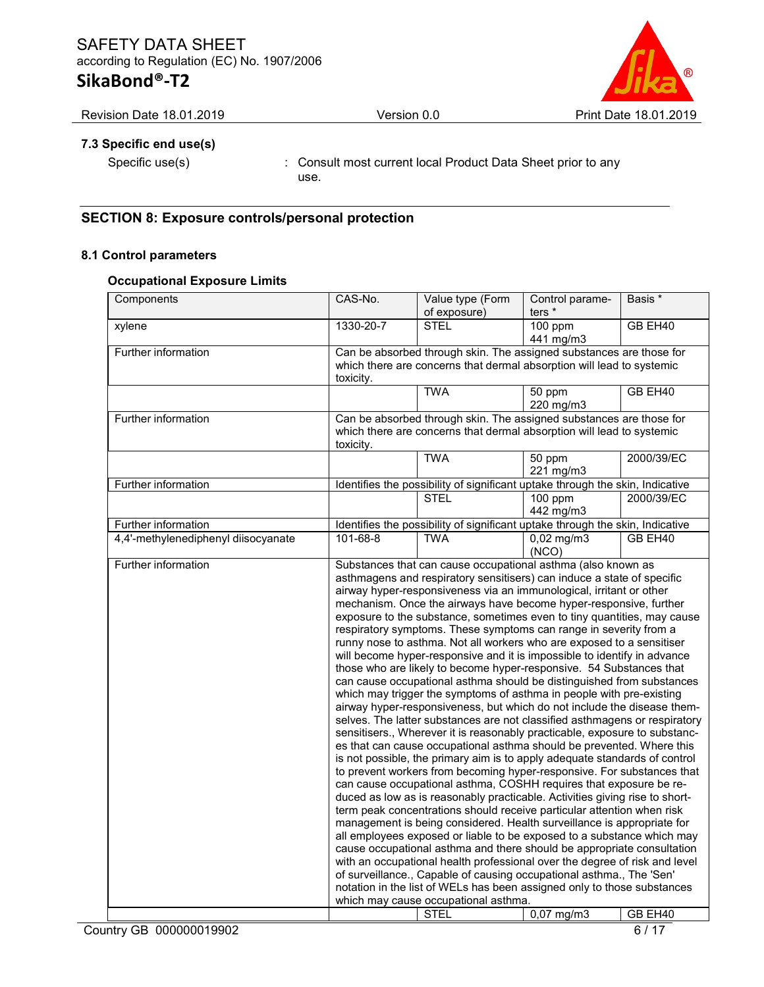## SAFETY DATA SHEET according to Regulation (EC) No. 1907/2006

### SikaBond®-T2



### 7.3 Specific end use(s)

Specific use(s) : Consult most current local Product Data Sheet prior to any use.

### SECTION 8: Exposure controls/personal protection

### 8.1 Control parameters

### Occupational Exposure Limits

| Components                          | CAS-No.   | Value type (Form<br>of exposure)                                                                                                                                                                                                                                                                                                                                                                                                                                                                                                                                                                                                                                                                                                                                                                                                                                                                                                                                                                                                                                                                                                                                                                                                                                                                                                                                                                                                                                                                                                                                                                                                                                                                                                                                                                                                                                                                                                                                                                                                             | Control parame-<br>ters <sup>*</sup> | Basis *    |
|-------------------------------------|-----------|----------------------------------------------------------------------------------------------------------------------------------------------------------------------------------------------------------------------------------------------------------------------------------------------------------------------------------------------------------------------------------------------------------------------------------------------------------------------------------------------------------------------------------------------------------------------------------------------------------------------------------------------------------------------------------------------------------------------------------------------------------------------------------------------------------------------------------------------------------------------------------------------------------------------------------------------------------------------------------------------------------------------------------------------------------------------------------------------------------------------------------------------------------------------------------------------------------------------------------------------------------------------------------------------------------------------------------------------------------------------------------------------------------------------------------------------------------------------------------------------------------------------------------------------------------------------------------------------------------------------------------------------------------------------------------------------------------------------------------------------------------------------------------------------------------------------------------------------------------------------------------------------------------------------------------------------------------------------------------------------------------------------------------------------|--------------------------------------|------------|
| xylene                              | 1330-20-7 | <b>STEL</b>                                                                                                                                                                                                                                                                                                                                                                                                                                                                                                                                                                                                                                                                                                                                                                                                                                                                                                                                                                                                                                                                                                                                                                                                                                                                                                                                                                                                                                                                                                                                                                                                                                                                                                                                                                                                                                                                                                                                                                                                                                  | 100 ppm<br>441 mg/m3                 | GB EH40    |
| Further information                 | toxicity. | Can be absorbed through skin. The assigned substances are those for<br>which there are concerns that dermal absorption will lead to systemic                                                                                                                                                                                                                                                                                                                                                                                                                                                                                                                                                                                                                                                                                                                                                                                                                                                                                                                                                                                                                                                                                                                                                                                                                                                                                                                                                                                                                                                                                                                                                                                                                                                                                                                                                                                                                                                                                                 |                                      |            |
|                                     |           | <b>TWA</b>                                                                                                                                                                                                                                                                                                                                                                                                                                                                                                                                                                                                                                                                                                                                                                                                                                                                                                                                                                                                                                                                                                                                                                                                                                                                                                                                                                                                                                                                                                                                                                                                                                                                                                                                                                                                                                                                                                                                                                                                                                   | 50 ppm<br>220 mg/m3                  | GB EH40    |
| Further information                 | toxicity. | Can be absorbed through skin. The assigned substances are those for<br>which there are concerns that dermal absorption will lead to systemic                                                                                                                                                                                                                                                                                                                                                                                                                                                                                                                                                                                                                                                                                                                                                                                                                                                                                                                                                                                                                                                                                                                                                                                                                                                                                                                                                                                                                                                                                                                                                                                                                                                                                                                                                                                                                                                                                                 |                                      |            |
|                                     |           | <b>TWA</b>                                                                                                                                                                                                                                                                                                                                                                                                                                                                                                                                                                                                                                                                                                                                                                                                                                                                                                                                                                                                                                                                                                                                                                                                                                                                                                                                                                                                                                                                                                                                                                                                                                                                                                                                                                                                                                                                                                                                                                                                                                   | 50 ppm<br>221 mg/m3                  | 2000/39/EC |
| Further information                 |           | Identifies the possibility of significant uptake through the skin, Indicative                                                                                                                                                                                                                                                                                                                                                                                                                                                                                                                                                                                                                                                                                                                                                                                                                                                                                                                                                                                                                                                                                                                                                                                                                                                                                                                                                                                                                                                                                                                                                                                                                                                                                                                                                                                                                                                                                                                                                                |                                      |            |
|                                     |           | <b>STEL</b>                                                                                                                                                                                                                                                                                                                                                                                                                                                                                                                                                                                                                                                                                                                                                                                                                                                                                                                                                                                                                                                                                                                                                                                                                                                                                                                                                                                                                                                                                                                                                                                                                                                                                                                                                                                                                                                                                                                                                                                                                                  | 100 ppm<br>442 mg/m3                 | 2000/39/EC |
| Further information                 |           | Identifies the possibility of significant uptake through the skin, Indicative                                                                                                                                                                                                                                                                                                                                                                                                                                                                                                                                                                                                                                                                                                                                                                                                                                                                                                                                                                                                                                                                                                                                                                                                                                                                                                                                                                                                                                                                                                                                                                                                                                                                                                                                                                                                                                                                                                                                                                |                                      |            |
| 4,4'-methylenediphenyl diisocyanate | 101-68-8  | <b>TWA</b>                                                                                                                                                                                                                                                                                                                                                                                                                                                                                                                                                                                                                                                                                                                                                                                                                                                                                                                                                                                                                                                                                                                                                                                                                                                                                                                                                                                                                                                                                                                                                                                                                                                                                                                                                                                                                                                                                                                                                                                                                                   | $0,02$ mg/m3<br>(NCO)                | GB EH40    |
| Further information                 |           | Substances that can cause occupational asthma (also known as<br>asthmagens and respiratory sensitisers) can induce a state of specific<br>airway hyper-responsiveness via an immunological, irritant or other<br>mechanism. Once the airways have become hyper-responsive, further<br>exposure to the substance, sometimes even to tiny quantities, may cause<br>respiratory symptoms. These symptoms can range in severity from a<br>runny nose to asthma. Not all workers who are exposed to a sensitiser<br>will become hyper-responsive and it is impossible to identify in advance<br>those who are likely to become hyper-responsive. 54 Substances that<br>can cause occupational asthma should be distinguished from substances<br>which may trigger the symptoms of asthma in people with pre-existing<br>airway hyper-responsiveness, but which do not include the disease them-<br>selves. The latter substances are not classified asthmagens or respiratory<br>sensitisers., Wherever it is reasonably practicable, exposure to substanc-<br>es that can cause occupational asthma should be prevented. Where this<br>is not possible, the primary aim is to apply adequate standards of control<br>to prevent workers from becoming hyper-responsive. For substances that<br>can cause occupational asthma, COSHH requires that exposure be re-<br>duced as low as is reasonably practicable. Activities giving rise to short-<br>term peak concentrations should receive particular attention when risk<br>management is being considered. Health surveillance is appropriate for<br>all employees exposed or liable to be exposed to a substance which may<br>cause occupational asthma and there should be appropriate consultation<br>with an occupational health professional over the degree of risk and level<br>of surveillance., Capable of causing occupational asthma., The 'Sen'<br>notation in the list of WELs has been assigned only to those substances<br>which may cause occupational asthma.<br><b>STEL</b> | $0,07$ mg/m3                         | GB EH40    |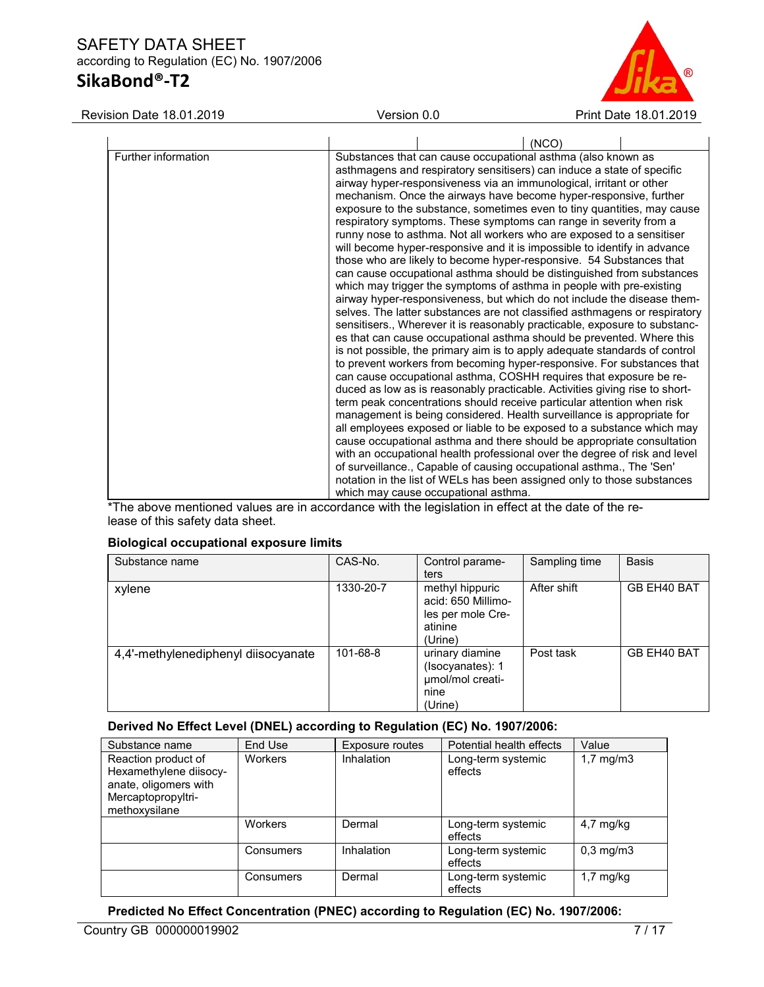### SAFETY DATA SHEET according to Regulation (EC) No. 1907/2006 SikaBond®-T2



Revision Date 18.01.2019 Version 0.0 Print Date 18.01.2019

\*The above mentioned values are in accordance with the legislation in effect at the date of the release of this safety data sheet.

### Biological occupational exposure limits

| Substance name                      | CAS-No.   | Control parame-<br>ters                                                          | Sampling time | <b>Basis</b> |
|-------------------------------------|-----------|----------------------------------------------------------------------------------|---------------|--------------|
| xylene                              | 1330-20-7 | methyl hippuric<br>acid: 650 Millimo-<br>les per mole Cre-<br>atinine<br>(Urine) | After shift   | GB EH40 BAT  |
| 4,4'-methylenediphenyl diisocyanate | 101-68-8  | urinary diamine<br>(Isocyanates): 1<br>umol/mol creati-<br>nine<br>(Urine)       | Post task     | GB EH40 BAT  |

### Derived No Effect Level (DNEL) according to Regulation (EC) No. 1907/2006:

| Substance name                                                                                                | End Use        | <b>Exposure routes</b> | Potential health effects      | Value                |
|---------------------------------------------------------------------------------------------------------------|----------------|------------------------|-------------------------------|----------------------|
| Reaction product of<br>Hexamethylene diisocy-<br>anate, oligomers with<br>Mercaptopropyltri-<br>methoxysilane | <b>Workers</b> | Inhalation             | Long-term systemic<br>effects | $1,7 \text{ mg/m}$ 3 |
|                                                                                                               | <b>Workers</b> | Dermal                 | Long-term systemic<br>effects | $4,7 \text{ mg/kg}$  |
|                                                                                                               | Consumers      | Inhalation             | Long-term systemic<br>effects | $0.3 \text{ mg/m}$   |
|                                                                                                               | Consumers      | Dermal                 | Long-term systemic<br>effects | $1,7$ mg/kg          |

### Predicted No Effect Concentration (PNEC) according to Regulation (EC) No. 1907/2006: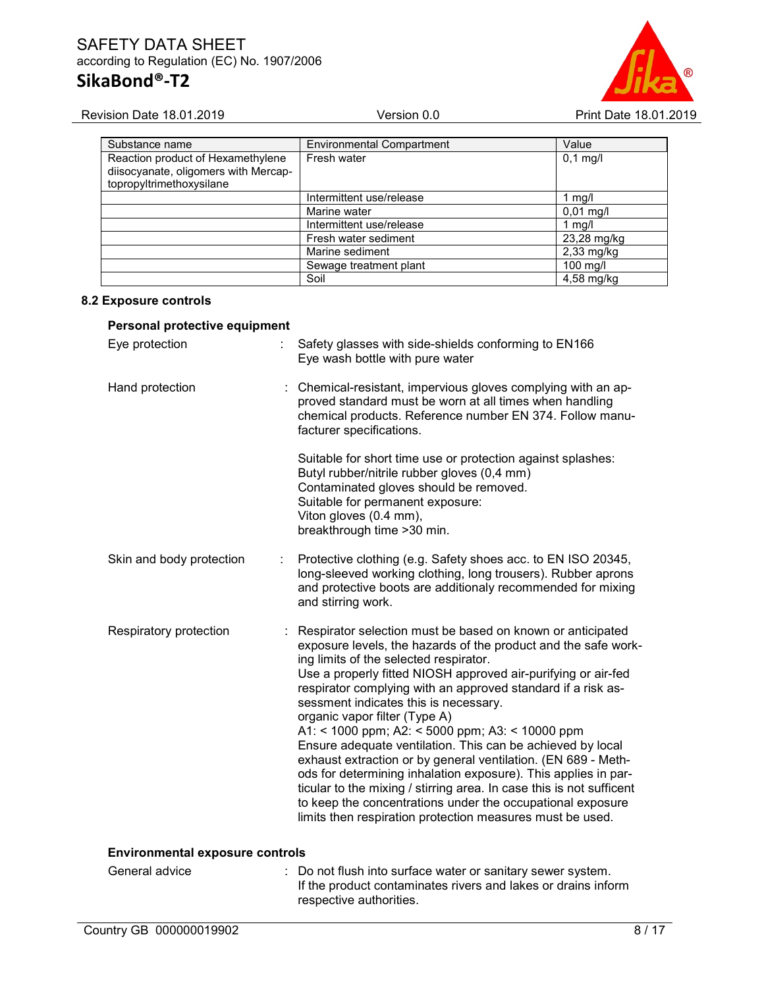

| Substance name                                                                                        | <b>Environmental Compartment</b> | Value        |
|-------------------------------------------------------------------------------------------------------|----------------------------------|--------------|
| Reaction product of Hexamethylene<br>diisocyanate, oligomers with Mercap-<br>topropyltrimethoxysilane | Fresh water                      | $0,1$ mg/l   |
|                                                                                                       | Intermittent use/release         | 1 mg/l       |
|                                                                                                       | Marine water                     | $0,01$ mg/l  |
|                                                                                                       | Intermittent use/release         | 1 mg/l       |
|                                                                                                       | Fresh water sediment             | 23,28 mg/kg  |
|                                                                                                       | Marine sediment                  | $2,33$ mg/kg |
|                                                                                                       | Sewage treatment plant           | $100$ mg/l   |
|                                                                                                       | Soil                             | 4,58 mg/kg   |

### 8.2 Exposure controls

### Personal protective equipment

| Eye protection                         | Safety glasses with side-shields conforming to EN166<br>Eye wash bottle with pure water                                                                                                                                                                                                                                                                                                                                                                                                                                                                                                                                                                                                                                                                                                                                                  |
|----------------------------------------|------------------------------------------------------------------------------------------------------------------------------------------------------------------------------------------------------------------------------------------------------------------------------------------------------------------------------------------------------------------------------------------------------------------------------------------------------------------------------------------------------------------------------------------------------------------------------------------------------------------------------------------------------------------------------------------------------------------------------------------------------------------------------------------------------------------------------------------|
| Hand protection                        | : Chemical-resistant, impervious gloves complying with an ap-<br>proved standard must be worn at all times when handling<br>chemical products. Reference number EN 374. Follow manu-<br>facturer specifications.                                                                                                                                                                                                                                                                                                                                                                                                                                                                                                                                                                                                                         |
|                                        | Suitable for short time use or protection against splashes:<br>Butyl rubber/nitrile rubber gloves (0,4 mm)<br>Contaminated gloves should be removed.<br>Suitable for permanent exposure:<br>Viton gloves (0.4 mm),<br>breakthrough time > 30 min.                                                                                                                                                                                                                                                                                                                                                                                                                                                                                                                                                                                        |
| Skin and body protection               | Protective clothing (e.g. Safety shoes acc. to EN ISO 20345,<br>long-sleeved working clothing, long trousers). Rubber aprons<br>and protective boots are additionaly recommended for mixing<br>and stirring work.                                                                                                                                                                                                                                                                                                                                                                                                                                                                                                                                                                                                                        |
| Respiratory protection                 | Respirator selection must be based on known or anticipated<br>exposure levels, the hazards of the product and the safe work-<br>ing limits of the selected respirator.<br>Use a properly fitted NIOSH approved air-purifying or air-fed<br>respirator complying with an approved standard if a risk as-<br>sessment indicates this is necessary.<br>organic vapor filter (Type A)<br>A1: < 1000 ppm; A2: < 5000 ppm; A3: < 10000 ppm<br>Ensure adequate ventilation. This can be achieved by local<br>exhaust extraction or by general ventilation. (EN 689 - Meth-<br>ods for determining inhalation exposure). This applies in par-<br>ticular to the mixing / stirring area. In case this is not sufficent<br>to keep the concentrations under the occupational exposure<br>limits then respiration protection measures must be used. |
| <b>Environmental exposure controls</b> |                                                                                                                                                                                                                                                                                                                                                                                                                                                                                                                                                                                                                                                                                                                                                                                                                                          |

General advice : Do not flush into surface water or sanitary sewer system. If the product contaminates rivers and lakes or drains inform respective authorities.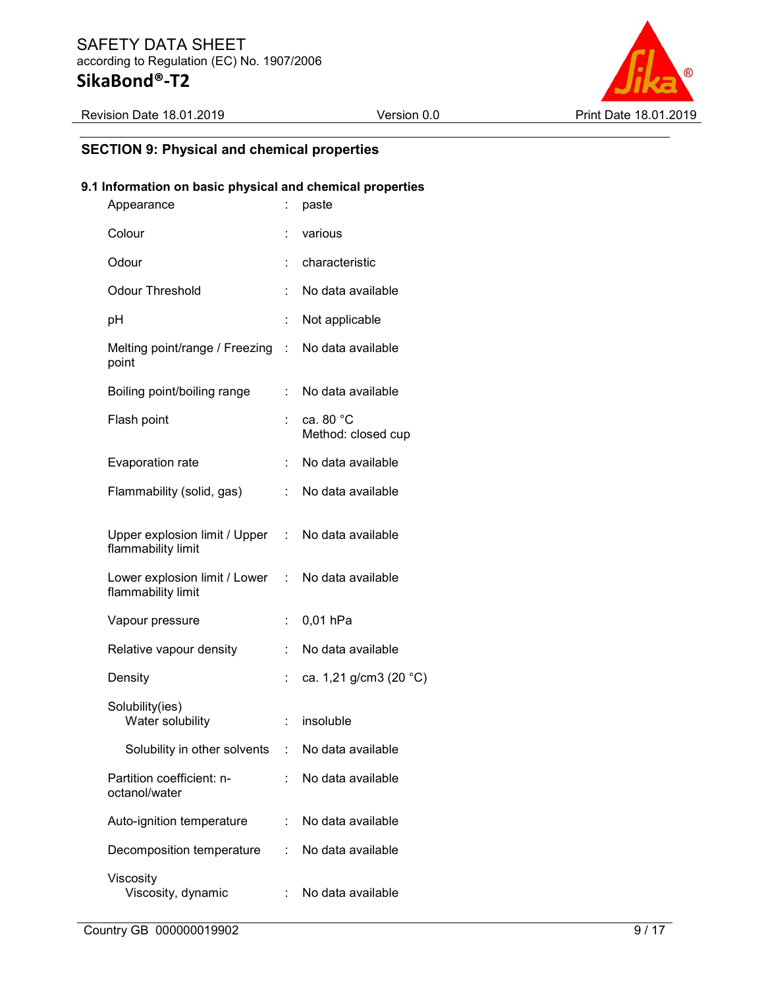

### SECTION 9: Physical and chemical properties

### 9.1 Information on basic physical and chemical properties

| Appearance                                                              | t.                        | paste                           |
|-------------------------------------------------------------------------|---------------------------|---------------------------------|
| Colour                                                                  |                           | various                         |
| Odour                                                                   |                           | characteristic                  |
| <b>Odour Threshold</b>                                                  |                           | No data available               |
| рH                                                                      | t.                        | Not applicable                  |
| Melting point/range / Freezing : No data available<br>point             |                           |                                 |
| Boiling point/boiling range                                             | t.                        | No data available               |
| Flash point                                                             |                           | ca. 80 °C<br>Method: closed cup |
| Evaporation rate                                                        | $\ddot{\cdot}$            | No data available               |
| Flammability (solid, gas)                                               | t.                        | No data available               |
| Upper explosion limit / Upper : No data available<br>flammability limit |                           |                                 |
| Lower explosion limit / Lower : No data available<br>flammability limit |                           |                                 |
| Vapour pressure                                                         | $\ddot{\phantom{a}}$      | 0,01 hPa                        |
| Relative vapour density                                                 | ÷.                        | No data available               |
| Density                                                                 | ÷                         | ca. 1,21 g/cm3 (20 °C)          |
| Solubility(ies)<br>Water solubility                                     | $\mathbb{Z}^{\mathbb{Z}}$ | insoluble                       |
| Solubility in other solvents                                            |                           | : No data available             |
| Partition coefficient: n-<br>octanol/water                              | ÷                         | No data available               |
| Auto-ignition temperature                                               | ÷.                        | No data available               |
| Decomposition temperature                                               |                           | : No data available             |
| Viscosity<br>Viscosity, dynamic                                         | t.                        | No data available               |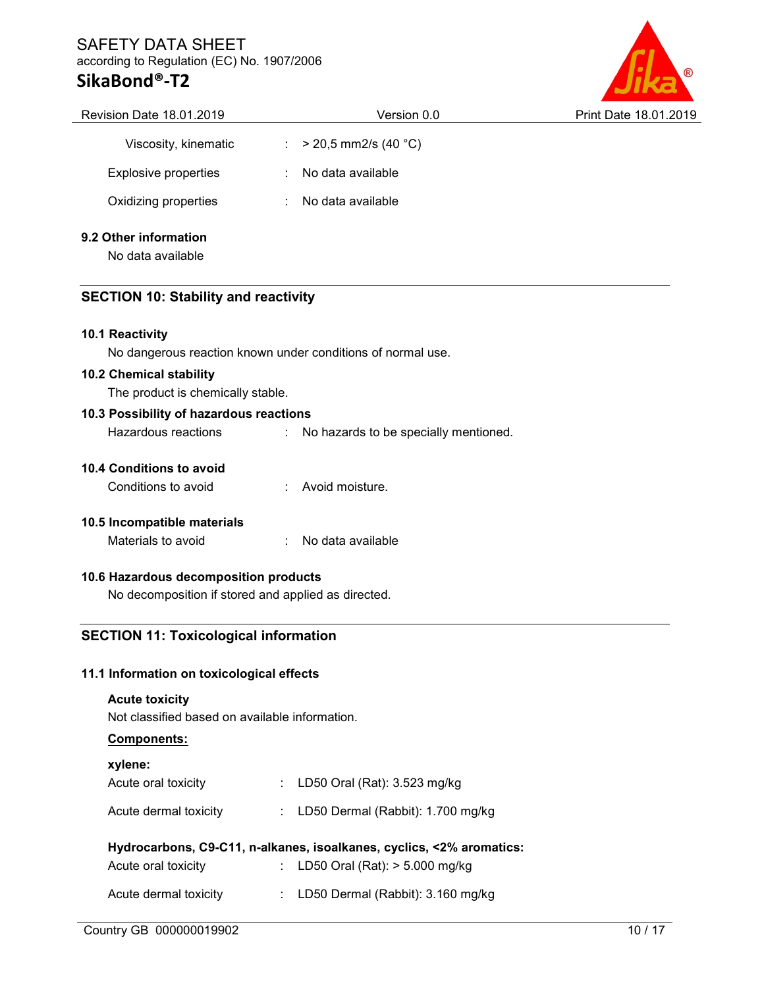### SAFETY DATA SHEET according to Regulation (EC) No. 1907/2006

### SikaBond®-T2



|                                             | Version 0.0            | Print Date 18.01.2019                                                                      |  |
|---------------------------------------------|------------------------|--------------------------------------------------------------------------------------------|--|
|                                             | $>$ 20,5 mm2/s (40 °C) |                                                                                            |  |
|                                             | No data available      |                                                                                            |  |
| No data available                           |                        |                                                                                            |  |
| 9.2 Other information<br>No data available  |                        |                                                                                            |  |
| <b>SECTION 10: Stability and reactivity</b> |                        |                                                                                            |  |
|                                             |                        |                                                                                            |  |
|                                             |                        | $\mathcal{L}_{\mathcal{A}}$<br>No dangerous reaction known under conditions of normal use. |  |

### 10.2 Chemical stability

The product is chemically stable.

### 10.3 Possibility of hazardous reactions

Hazardous reactions : No hazards to be specially mentioned.

### 10.4 Conditions to avoid

| Conditions to avoid | Avoid moisture. |
|---------------------|-----------------|
|---------------------|-----------------|

### 10.5 Incompatible materials

Materials to avoid : No data available

### 10.6 Hazardous decomposition products

No decomposition if stored and applied as directed.

### SECTION 11: Toxicological information

### 11.1 Information on toxicological effects

### Acute toxicity

Not classified based on available information.

### Components:

| xylene:                                                              |  |                                     |  |  |
|----------------------------------------------------------------------|--|-------------------------------------|--|--|
| Acute oral toxicity                                                  |  | : LD50 Oral (Rat): 3.523 mg/kg      |  |  |
| Acute dermal toxicity                                                |  | : LD50 Dermal (Rabbit): 1.700 mg/kg |  |  |
| Hydrocarbons, C9-C11, n-alkanes, isoalkanes, cyclics, <2% aromatics: |  |                                     |  |  |
| Acute oral toxicity                                                  |  | : LD50 Oral (Rat): > 5.000 mg/kg    |  |  |
| Acute dermal toxicity                                                |  | LD50 Dermal (Rabbit): 3.160 mg/kg   |  |  |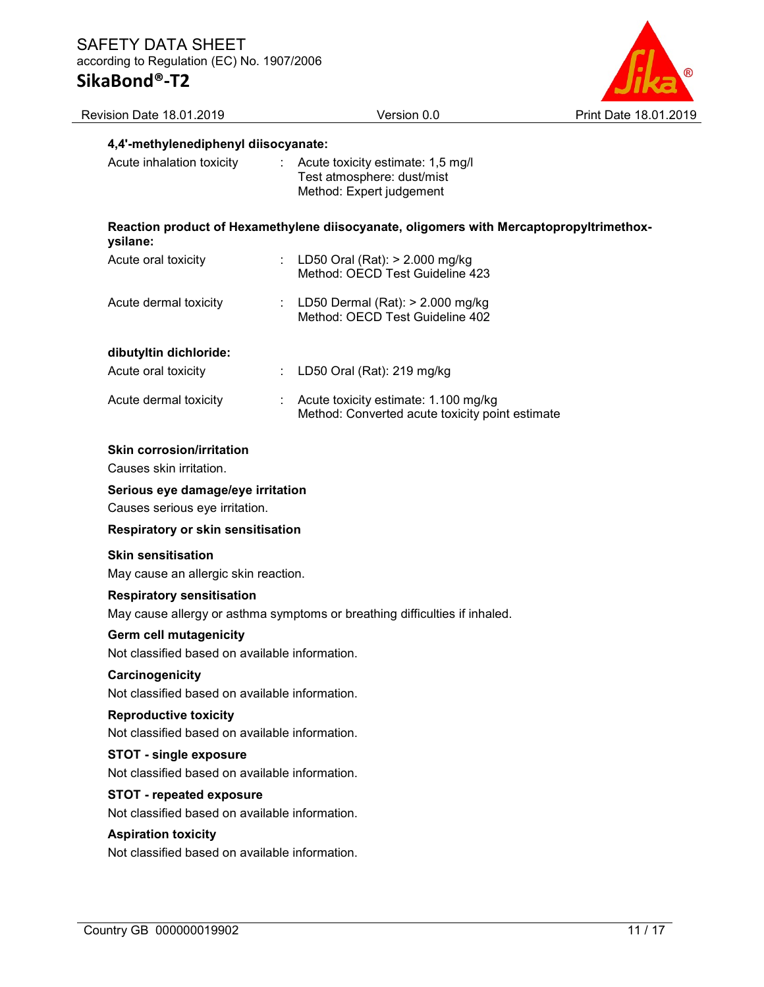

| Revision Date 18.01.2019                                                          | Version 0.0                                                                                 | Print Date 18.01.2019 |
|-----------------------------------------------------------------------------------|---------------------------------------------------------------------------------------------|-----------------------|
| 4,4'-methylenediphenyl diisocyanate:                                              |                                                                                             |                       |
| Acute inhalation toxicity                                                         | Acute toxicity estimate: 1,5 mg/l<br>Test atmosphere: dust/mist<br>Method: Expert judgement |                       |
| ysilane:                                                                          | Reaction product of Hexamethylene diisocyanate, oligomers with Mercaptopropyltrimethox-     |                       |
| Acute oral toxicity                                                               | LD50 Oral (Rat): > 2.000 mg/kg<br>Method: OECD Test Guideline 423                           |                       |
| Acute dermal toxicity                                                             | LD50 Dermal (Rat): $>$ 2.000 mg/kg<br>Method: OECD Test Guideline 402                       |                       |
| dibutyltin dichloride:                                                            |                                                                                             |                       |
| Acute oral toxicity                                                               | LD50 Oral (Rat): 219 mg/kg                                                                  |                       |
| Acute dermal toxicity                                                             | Acute toxicity estimate: 1.100 mg/kg<br>Method: Converted acute toxicity point estimate     |                       |
| <b>Skin corrosion/irritation</b><br>Causes skin irritation.                       |                                                                                             |                       |
| Serious eye damage/eye irritation<br>Causes serious eye irritation.               |                                                                                             |                       |
| Respiratory or skin sensitisation                                                 |                                                                                             |                       |
| <b>Skin sensitisation</b><br>May cause an allergic skin reaction.                 |                                                                                             |                       |
| <b>Respiratory sensitisation</b>                                                  | May cause allergy or asthma symptoms or breathing difficulties if inhaled.                  |                       |
| <b>Germ cell mutagenicity</b><br>Not classified based on available information.   |                                                                                             |                       |
| Carcinogenicity<br>Not classified based on available information.                 |                                                                                             |                       |
| <b>Reproductive toxicity</b><br>Not classified based on available information.    |                                                                                             |                       |
| <b>STOT - single exposure</b><br>Not classified based on available information.   |                                                                                             |                       |
| <b>STOT - repeated exposure</b><br>Not classified based on available information. |                                                                                             |                       |
| <b>Aspiration toxicity</b><br>Not classified based on available information.      |                                                                                             |                       |
|                                                                                   |                                                                                             |                       |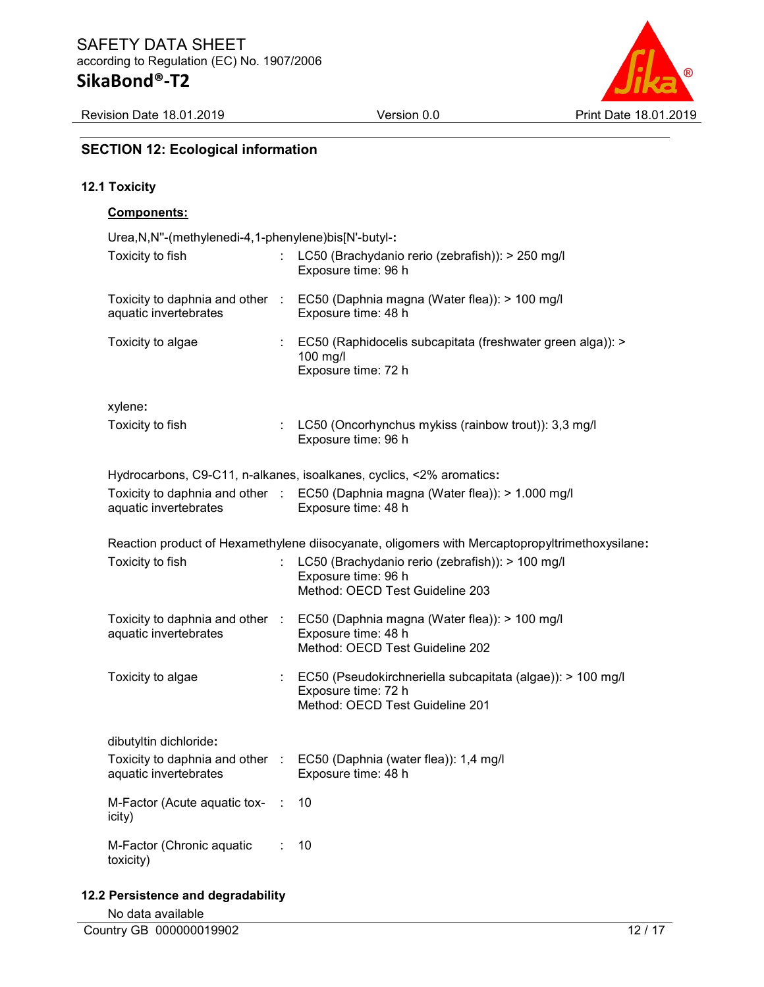Revision Date 18.01.2019 Version 0.0 Print Date 18.01.2019



### SECTION 12: Ecological information

### 12.1 Toxicity

### Components:

| Urea, N, N"-(methylenedi-4, 1-phenylene) bis[N'-butyl-:  |           |                                                                                                                      |  |  |
|----------------------------------------------------------|-----------|----------------------------------------------------------------------------------------------------------------------|--|--|
| Toxicity to fish                                         |           | LC50 (Brachydanio rerio (zebrafish)): > 250 mg/l<br>Exposure time: 96 h                                              |  |  |
| Toxicity to daphnia and other :<br>aquatic invertebrates |           | EC50 (Daphnia magna (Water flea)): > 100 mg/l<br>Exposure time: 48 h                                                 |  |  |
| Toxicity to algae                                        |           | EC50 (Raphidocelis subcapitata (freshwater green alga)): ><br>100 mg/l<br>Exposure time: 72 h                        |  |  |
| xylene:                                                  |           |                                                                                                                      |  |  |
| Toxicity to fish                                         |           | LC50 (Oncorhynchus mykiss (rainbow trout)): 3,3 mg/l<br>Exposure time: 96 h                                          |  |  |
|                                                          |           | Hydrocarbons, C9-C11, n-alkanes, isoalkanes, cyclics, <2% aromatics:                                                 |  |  |
|                                                          |           | Toxicity to daphnia and other : EC50 (Daphnia magna (Water flea)): > 1.000 mg/l                                      |  |  |
| aquatic invertebrates                                    |           | Exposure time: 48 h                                                                                                  |  |  |
|                                                          |           | Reaction product of Hexamethylene diisocyanate, oligomers with Mercaptopropyltrimethoxysilane:                       |  |  |
| Toxicity to fish                                         |           | LC50 (Brachydanio rerio (zebrafish)): > 100 mg/l<br>Exposure time: 96 h<br>Method: OECD Test Guideline 203           |  |  |
| Toxicity to daphnia and other :                          |           | EC50 (Daphnia magna (Water flea)): > 100 mg/l                                                                        |  |  |
| aquatic invertebrates                                    |           | Exposure time: 48 h                                                                                                  |  |  |
|                                                          |           | Method: OECD Test Guideline 202                                                                                      |  |  |
| Toxicity to algae                                        |           | EC50 (Pseudokirchneriella subcapitata (algae)): > 100 mg/l<br>Exposure time: 72 h<br>Method: OECD Test Guideline 201 |  |  |
| dibutyltin dichloride:                                   |           |                                                                                                                      |  |  |
| Toxicity to daphnia and other :                          |           | EC50 (Daphnia (water flea)): 1,4 mg/l                                                                                |  |  |
| aquatic invertebrates                                    |           | Exposure time: 48 h                                                                                                  |  |  |
| M-Factor (Acute aquatic tox-<br>icity)                   | $\cdot$ : | 10                                                                                                                   |  |  |
| M-Factor (Chronic aquatic<br>toxicity)                   |           | 10                                                                                                                   |  |  |

12.2 Persistence and degradability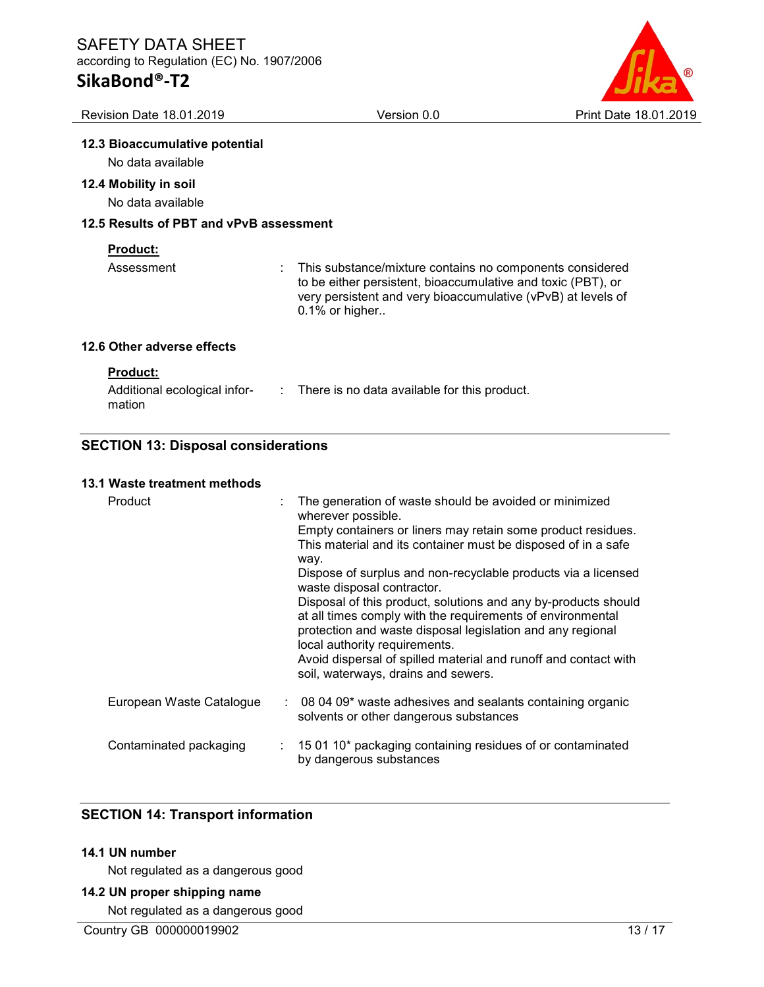# SikaBond®-T2

te 18.01.2019

| Revision Date 18.01.2019                                  | Version 0.0                                                                                                                                                                                                   | Print Date |
|-----------------------------------------------------------|---------------------------------------------------------------------------------------------------------------------------------------------------------------------------------------------------------------|------------|
| 12.3 Bioaccumulative potential<br>No data available       |                                                                                                                                                                                                               |            |
| 12.4 Mobility in soil<br>No data available                |                                                                                                                                                                                                               |            |
| 12.5 Results of PBT and vPvB assessment                   |                                                                                                                                                                                                               |            |
| <b>Product:</b><br>Assessment                             | This substance/mixture contains no components considered<br>to be either persistent, bioaccumulative and toxic (PBT), or<br>very persistent and very bioaccumulative (vPvB) at levels of<br>$0.1\%$ or higher |            |
| 12.6 Other adverse effects                                |                                                                                                                                                                                                               |            |
| <b>Product:</b><br>Additional ecological infor-<br>mation | $\therefore$ There is no data available for this product.                                                                                                                                                     |            |

### SECTION 13: Disposal considerations

### 13.1 Waste treatment methods

| Product                  | way. | The generation of waste should be avoided or minimized<br>wherever possible.<br>Empty containers or liners may retain some product residues.<br>This material and its container must be disposed of in a safe<br>Dispose of surplus and non-recyclable products via a licensed<br>waste disposal contractor.<br>Disposal of this product, solutions and any by-products should<br>at all times comply with the requirements of environmental<br>protection and waste disposal legislation and any regional<br>local authority requirements.<br>Avoid dispersal of spilled material and runoff and contact with<br>soil, waterways, drains and sewers. |
|--------------------------|------|-------------------------------------------------------------------------------------------------------------------------------------------------------------------------------------------------------------------------------------------------------------------------------------------------------------------------------------------------------------------------------------------------------------------------------------------------------------------------------------------------------------------------------------------------------------------------------------------------------------------------------------------------------|
| European Waste Catalogue |      | $\therefore$ 08 04 09* waste adhesives and sealants containing organic<br>solvents or other dangerous substances                                                                                                                                                                                                                                                                                                                                                                                                                                                                                                                                      |
| Contaminated packaging   |      | $\therefore$ 15 01 10 <sup>*</sup> packaging containing residues of or contaminated<br>by dangerous substances                                                                                                                                                                                                                                                                                                                                                                                                                                                                                                                                        |

### SECTION 14: Transport information

### 14.1 UN number

Not regulated as a dangerous good

### 14.2 UN proper shipping name

Not regulated as a dangerous good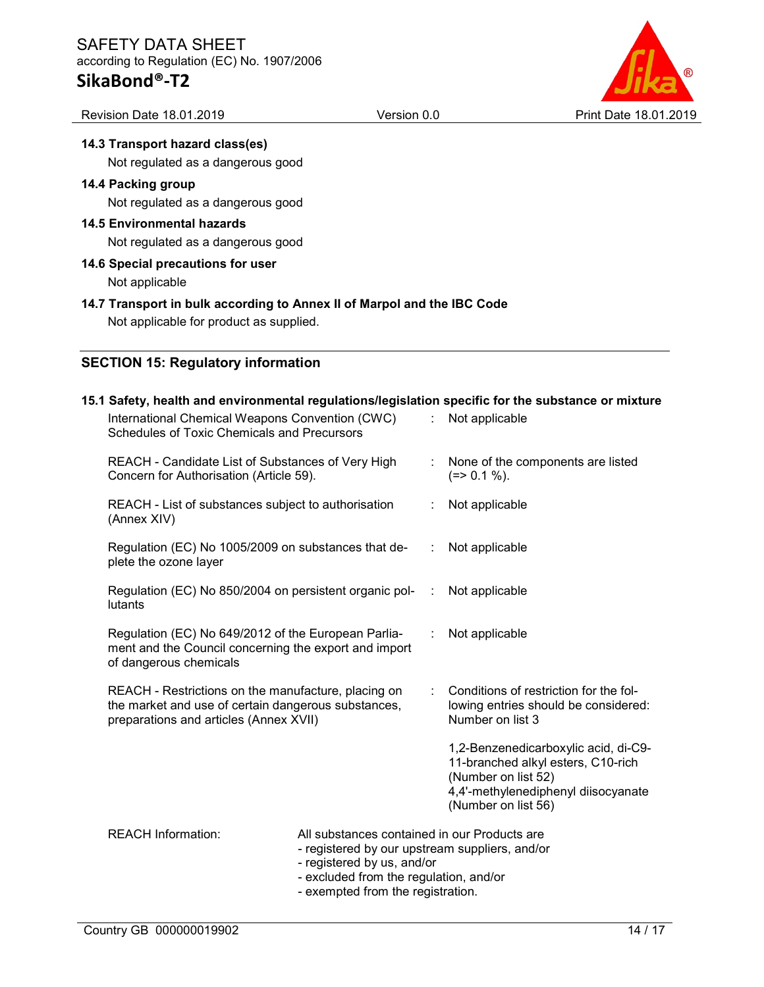# SikaBond®-T2



# 14.3 Transport hazard class(es)

Not regulated as a dangerous good

### 14.4 Packing group

Not regulated as a dangerous good

### 14.5 Environmental hazards

Not regulated as a dangerous good

### 14.6 Special precautions for user Not applicable

### 14.7 Transport in bulk according to Annex II of Marpol and the IBC Code

Not applicable for product as supplied.

### SECTION 15: Regulatory information

#### 15.1 Safety, health and environmental regulations/legislation specific for the substance or mixture International Chemical Weapons Convention (CWC) Schedules of Toxic Chemicals and Precursors : Not applicable REACH - Candidate List of Substances of Very High Concern for Authorisation (Article 59). : None of the components are listed  $(=> 0.1 \%).$ REACH - List of substances subject to authorisation (Annex XIV) : Not applicable Regulation (EC) No 1005/2009 on substances that deplete the ozone layer Not applicable Regulation (EC) No 850/2004 on persistent organic pollutants : Not applicable Regulation (EC) No 649/2012 of the European Parliament and the Council concerning the export and import of dangerous chemicals : Not applicable REACH - Restrictions on the manufacture, placing on the market and use of certain dangerous substances, preparations and articles (Annex XVII) : Conditions of restriction for the following entries should be considered: Number on list 3 1,2-Benzenedicarboxylic acid, di-C9- 11-branched alkyl esters, C10-rich (Number on list 52) 4,4'-methylenediphenyl diisocyanate (Number on list 56) REACH Information: All substances contained in our Products are - registered by our upstream suppliers, and/or - registered by us, and/or - excluded from the regulation, and/or - exempted from the registration.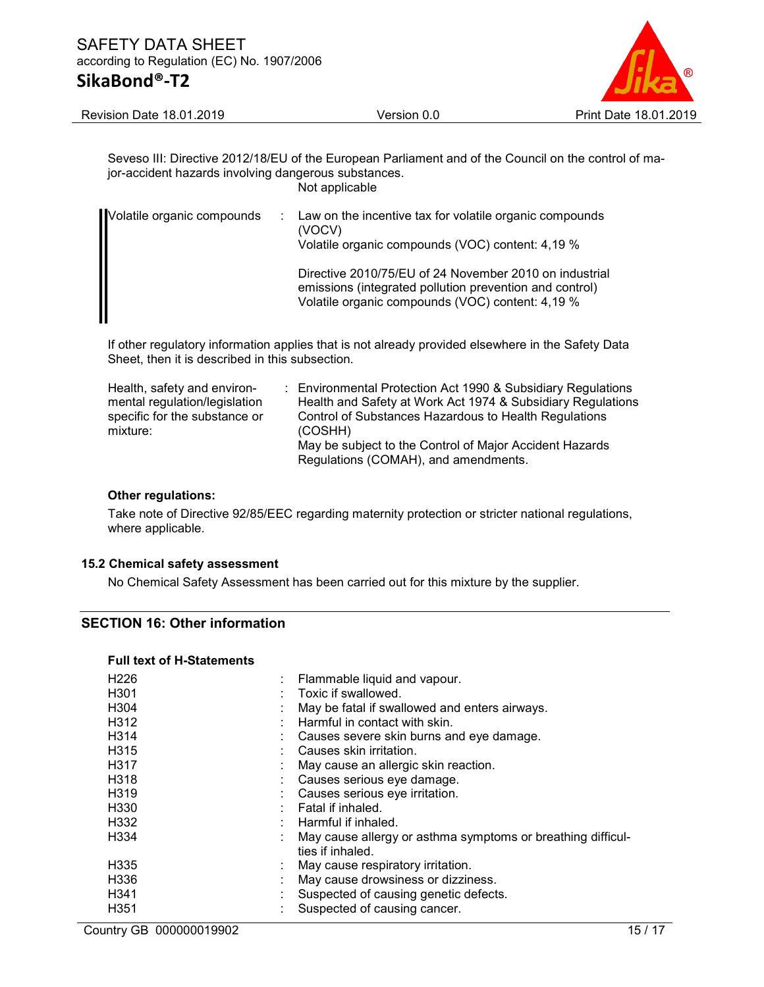

Revision Date 18.01.2019 Version 0.0 Print Date 18.01.2019

Seveso III: Directive 2012/18/EU of the European Parliament and of the Council on the control of major-accident hazards involving dangerous substances. Not applicable

| Volatile organic compounds | : Law on the incentive tax for volatile organic compounds<br>(VOCV)<br>Volatile organic compounds (VOC) content: 4,19 %                                               |
|----------------------------|-----------------------------------------------------------------------------------------------------------------------------------------------------------------------|
|                            | Directive 2010/75/EU of 24 November 2010 on industrial<br>emissions (integrated pollution prevention and control)<br>Volatile organic compounds (VOC) content: 4,19 % |

If other regulatory information applies that is not already provided elsewhere in the Safety Data Sheet, then it is described in this subsection.

| Health, safety and environ-   | : Environmental Protection Act 1990 & Subsidiary Regulations |
|-------------------------------|--------------------------------------------------------------|
| mental regulation/legislation | Health and Safety at Work Act 1974 & Subsidiary Regulations  |
| specific for the substance or | Control of Substances Hazardous to Health Regulations        |
| mixture:                      | (COSHH)                                                      |
|                               | May be subject to the Control of Major Accident Hazards      |
|                               | Regulations (COMAH), and amendments.                         |

#### Other regulations:

Take note of Directive 92/85/EEC regarding maternity protection or stricter national regulations, where applicable.

### 15.2 Chemical safety assessment

No Chemical Safety Assessment has been carried out for this mixture by the supplier.

### SECTION 16: Other information

#### Full text of H-Statements

| H <sub>226</sub>  | : Flammable liquid and vapour.                              |
|-------------------|-------------------------------------------------------------|
| H <sub>301</sub>  | Toxic if swallowed.                                         |
| H <sub>304</sub>  | May be fatal if swallowed and enters airways.               |
| H312              | Harmful in contact with skin.                               |
| H <sub>3</sub> 14 | : Causes severe skin burns and eye damage.                  |
| H <sub>3</sub> 15 | : Causes skin irritation.                                   |
| H317              | May cause an allergic skin reaction.                        |
| H318              | Causes serious eye damage.                                  |
| H <sub>3</sub> 19 | Causes serious eye irritation.                              |
| H <sub>330</sub>  | Fatal if inhaled.                                           |
| H332              | : Harmful if inhaled.                                       |
| H <sub>334</sub>  | May cause allergy or asthma symptoms or breathing difficul- |
|                   | ties if inhaled.                                            |
| H <sub>335</sub>  | May cause respiratory irritation.                           |
| H <sub>336</sub>  | May cause drowsiness or dizziness.                          |
| H341              | Suspected of causing genetic defects.                       |
| H <sub>351</sub>  | Suspected of causing cancer.                                |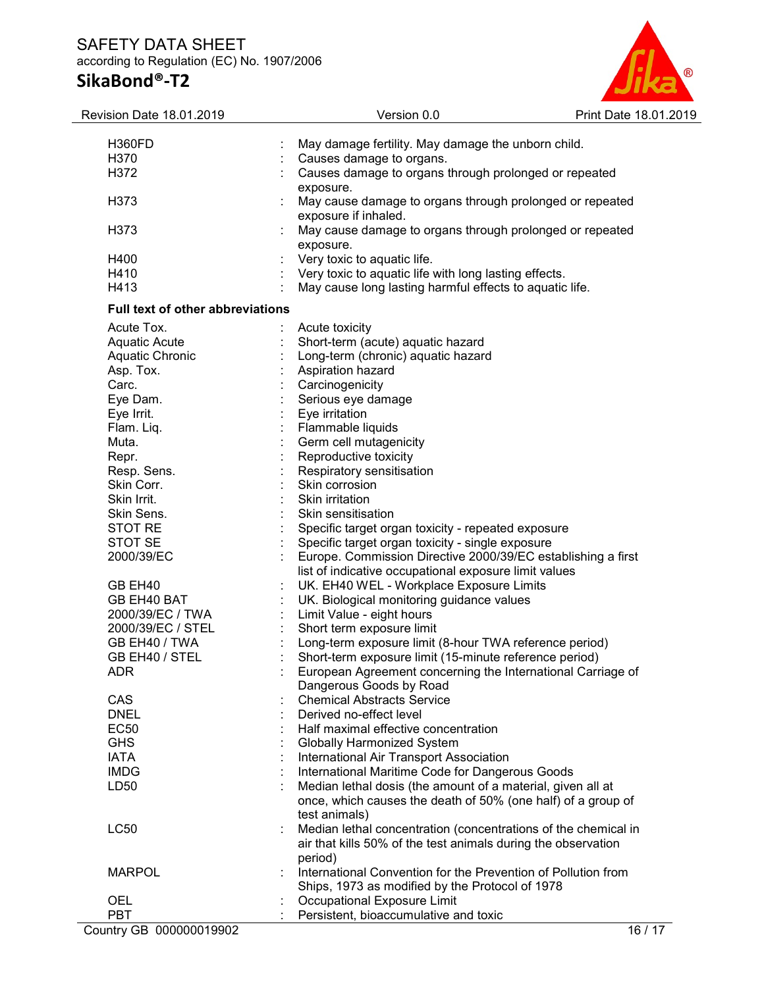## SAFETY DATA SHEET according to Regulation (EC) No. 1907/2006

# SikaBond®-T2



| Revision Date 18.01.2019                | Version 0.0                                                                                       | Print Date 18.01.2019 |
|-----------------------------------------|---------------------------------------------------------------------------------------------------|-----------------------|
| H360FD                                  | May damage fertility. May damage the unborn child.                                                |                       |
| H370                                    | Causes damage to organs.                                                                          |                       |
| H372                                    | Causes damage to organs through prolonged or repeated                                             |                       |
|                                         |                                                                                                   |                       |
|                                         | exposure.                                                                                         |                       |
| H373                                    | May cause damage to organs through prolonged or repeated                                          |                       |
|                                         | exposure if inhaled.                                                                              |                       |
| H <sub>3</sub> 73                       | May cause damage to organs through prolonged or repeated                                          |                       |
|                                         | exposure.                                                                                         |                       |
| H400                                    | Very toxic to aquatic life.                                                                       |                       |
| H410                                    | Very toxic to aquatic life with long lasting effects.                                             |                       |
| H413                                    | May cause long lasting harmful effects to aquatic life.                                           |                       |
| <b>Full text of other abbreviations</b> |                                                                                                   |                       |
| Acute Tox.                              | Acute toxicity                                                                                    |                       |
| Aquatic Acute                           | Short-term (acute) aquatic hazard                                                                 |                       |
| Aquatic Chronic                         | Long-term (chronic) aquatic hazard                                                                |                       |
| Asp. Tox.                               | Aspiration hazard                                                                                 |                       |
| Carc.                                   | Carcinogenicity                                                                                   |                       |
| Eye Dam.                                | Serious eye damage                                                                                |                       |
| Eye Irrit.                              | Eye irritation                                                                                    |                       |
| Flam. Liq.                              | Flammable liquids                                                                                 |                       |
| Muta.                                   | Germ cell mutagenicity                                                                            |                       |
| Repr.                                   | Reproductive toxicity                                                                             |                       |
| Resp. Sens.                             | Respiratory sensitisation                                                                         |                       |
| Skin Corr.                              | Skin corrosion                                                                                    |                       |
| Skin Irrit.                             | Skin irritation                                                                                   |                       |
| Skin Sens.                              | Skin sensitisation                                                                                |                       |
| <b>STOT RE</b>                          |                                                                                                   |                       |
| STOT SE                                 | Specific target organ toxicity - repeated exposure                                                |                       |
| 2000/39/EC                              | Specific target organ toxicity - single exposure                                                  |                       |
|                                         | Europe. Commission Directive 2000/39/EC establishing a first                                      |                       |
| GB EH40                                 | list of indicative occupational exposure limit values<br>UK. EH40 WEL - Workplace Exposure Limits |                       |
| GB EH40 BAT                             |                                                                                                   |                       |
|                                         | UK. Biological monitoring guidance values                                                         |                       |
| 2000/39/EC / TWA                        | Limit Value - eight hours                                                                         |                       |
| 2000/39/EC / STEL                       | Short term exposure limit                                                                         |                       |
| GB EH40 / TWA                           | Long-term exposure limit (8-hour TWA reference period)                                            |                       |
| GB EH40 / STEL                          | Short-term exposure limit (15-minute reference period)                                            |                       |
| <b>ADR</b>                              | European Agreement concerning the International Carriage of                                       |                       |
|                                         | Dangerous Goods by Road                                                                           |                       |
| CAS                                     | <b>Chemical Abstracts Service</b>                                                                 |                       |
| <b>DNEL</b>                             | Derived no-effect level                                                                           |                       |
| <b>EC50</b>                             | Half maximal effective concentration                                                              |                       |
| <b>GHS</b>                              | <b>Globally Harmonized System</b>                                                                 |                       |
| <b>IATA</b>                             | International Air Transport Association                                                           |                       |
| <b>IMDG</b>                             | International Maritime Code for Dangerous Goods                                                   |                       |
| LD50                                    | Median lethal dosis (the amount of a material, given all at                                       |                       |
|                                         | once, which causes the death of 50% (one half) of a group of                                      |                       |
|                                         | test animals)                                                                                     |                       |
| <b>LC50</b>                             | Median lethal concentration (concentrations of the chemical in                                    |                       |
|                                         | air that kills 50% of the test animals during the observation                                     |                       |
|                                         | period)                                                                                           |                       |
| <b>MARPOL</b>                           | International Convention for the Prevention of Pollution from                                     |                       |
|                                         | Ships, 1973 as modified by the Protocol of 1978                                                   |                       |
| <b>OEL</b>                              | Occupational Exposure Limit                                                                       |                       |
| <b>PBT</b>                              | Persistent, bioaccumulative and toxic                                                             |                       |
| Country GB 000000019902                 |                                                                                                   | 16/17                 |